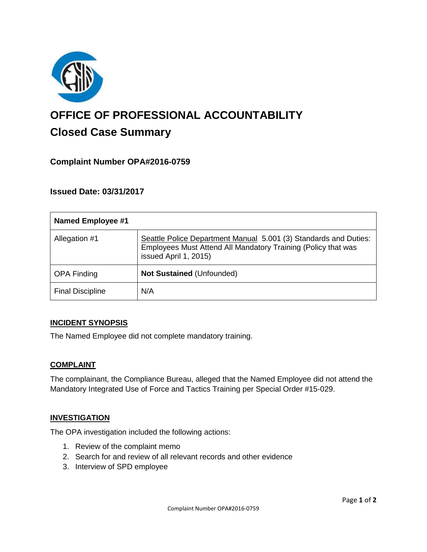

# **OFFICE OF PROFESSIONAL ACCOUNTABILITY Closed Case Summary**

# **Complaint Number OPA#2016-0759**

## **Issued Date: 03/31/2017**

| <b>Named Employee #1</b> |                                                                                                                                                            |
|--------------------------|------------------------------------------------------------------------------------------------------------------------------------------------------------|
| Allegation #1            | Seattle Police Department Manual 5.001 (3) Standards and Duties:<br>Employees Must Attend All Mandatory Training (Policy that was<br>issued April 1, 2015) |
| <b>OPA Finding</b>       | Not Sustained (Unfounded)                                                                                                                                  |
| <b>Final Discipline</b>  | N/A                                                                                                                                                        |

#### **INCIDENT SYNOPSIS**

The Named Employee did not complete mandatory training.

#### **COMPLAINT**

The complainant, the Compliance Bureau, alleged that the Named Employee did not attend the Mandatory Integrated Use of Force and Tactics Training per Special Order #15-029.

#### **INVESTIGATION**

The OPA investigation included the following actions:

- 1. Review of the complaint memo
- 2. Search for and review of all relevant records and other evidence
- 3. Interview of SPD employee